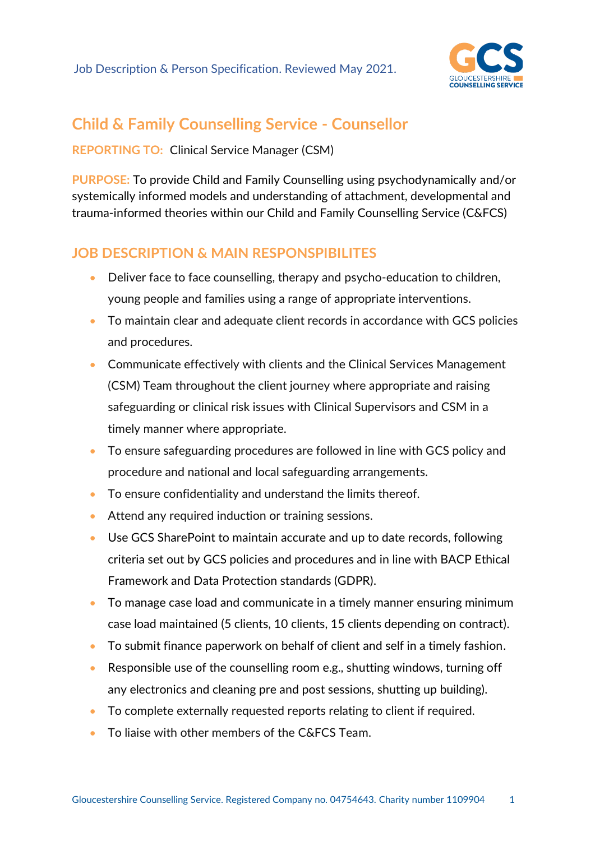

# **Child & Family Counselling Service - Counsellor**

**REPORTING TO:** Clinical Service Manager (CSM)

**PURPOSE:** To provide Child and Family Counselling using psychodynamically and/or systemically informed models and understanding of attachment, developmental and trauma-informed theories within our Child and Family Counselling Service (C&FCS)

## **JOB DESCRIPTION & MAIN RESPONSPIBILITES**

- Deliver face to face counselling, therapy and psycho-education to children, young people and families using a range of appropriate interventions.
- To maintain clear and adequate client records in accordance with GCS policies and procedures.
- Communicate effectively with clients and the Clinical Services Management (CSM) Team throughout the client journey where appropriate and raising safeguarding or clinical risk issues with Clinical Supervisors and CSM in a timely manner where appropriate.
- To ensure safeguarding procedures are followed in line with GCS policy and procedure and national and local safeguarding arrangements.
- To ensure confidentiality and understand the limits thereof.
- Attend any required induction or training sessions.
- Use GCS SharePoint to maintain accurate and up to date records, following criteria set out by GCS policies and procedures and in line with BACP Ethical Framework and Data Protection standards (GDPR).
- To manage case load and communicate in a timely manner ensuring minimum case load maintained (5 clients, 10 clients, 15 clients depending on contract).
- To submit finance paperwork on behalf of client and self in a timely fashion.
- Responsible use of the counselling room e.g., shutting windows, turning off any electronics and cleaning pre and post sessions, shutting up building).
- To complete externally requested reports relating to client if required.
- To liaise with other members of the C&FCS Team.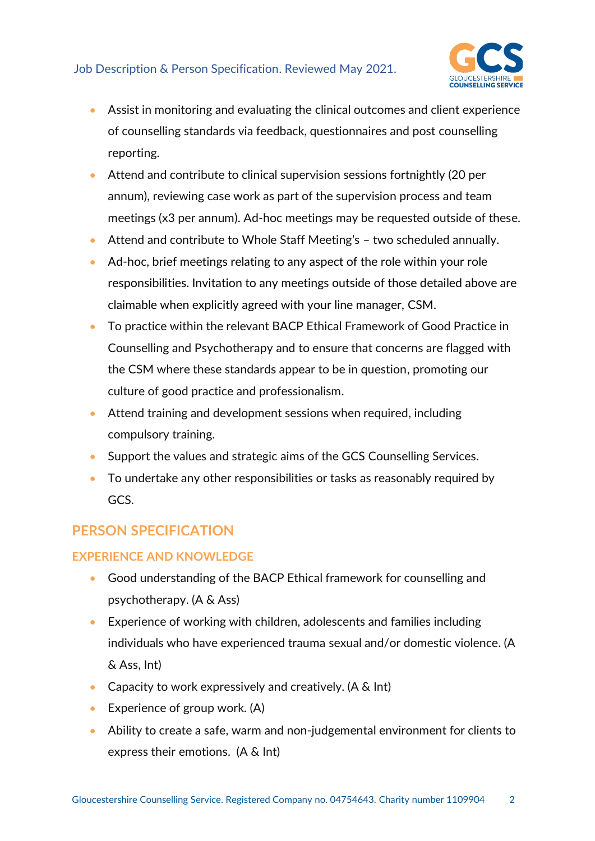#### Job Description & Person Specification. Reviewed May 2021.



- Assist in monitoring and evaluating the clinical outcomes and client experience of counselling standards via feedback, questionnaires and post counselling reporting.
- Attend and contribute to clinical supervision sessions fortnightly (20 per annum), reviewing case work as part of the supervision process and team meetings (x3 per annum). Ad-hoc meetings may be requested outside of these.
- Attend and contribute to Whole Staff Meeting's two scheduled annually.
- Ad-hoc, brief meetings relating to any aspect of the role within your role responsibilities. Invitation to any meetings outside of those detailed above are claimable when explicitly agreed with your line manager, CSM.
- To practice within the relevant BACP Ethical Framework of Good Practice in Counselling and Psychotherapy and to ensure that concerns are flagged with the CSM where these standards appear to be in question, promoting our culture of good practice and professionalism.
- Attend training and development sessions when required, including compulsory training.
- Support the values and strategic aims of the GCS Counselling Services.
- To undertake any other responsibilities or tasks as reasonably required by GCS.

### **PERSON SPECIFICATION**

#### **EXPERIENCE AND KNOWLEDGE**

- Good understanding of the BACP Ethical framework for counselling and psychotherapy. (A & Ass)
- Experience of working with children, adolescents and families including individuals who have experienced trauma sexual and/or domestic violence. (A & Ass, Int)
- Capacity to work expressively and creatively. (A & Int)
- Experience of group work. (A)
- Ability to create a safe, warm and non-judgemental environment for clients to express their emotions. (A & Int)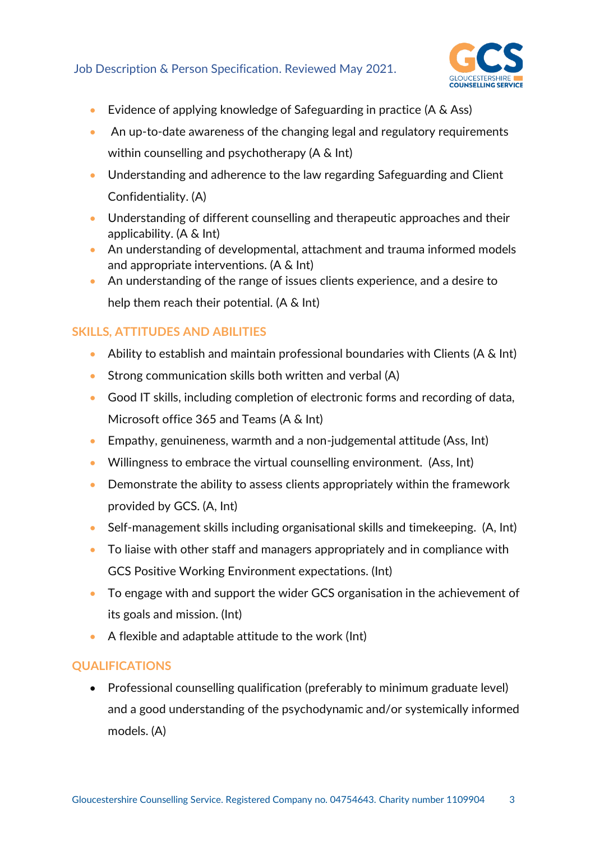#### Job Description & Person Specification. Reviewed May 2021.



- Evidence of applying knowledge of Safeguarding in practice (A & Ass)
- An up-to-date awareness of the changing legal and regulatory requirements within counselling and psychotherapy (A & Int)
- Understanding and adherence to the law regarding Safeguarding and Client Confidentiality. (A)
- Understanding of different counselling and therapeutic approaches and their applicability. (A & Int)
- An understanding of developmental, attachment and trauma informed models and appropriate interventions. (A & Int)
- An understanding of the range of issues clients experience, and a desire to help them reach their potential. (A & Int)

#### **SKILLS, ATTITUDES AND ABILITIES**

- Ability to establish and maintain professional boundaries with Clients (A & Int)
- Strong communication skills both written and verbal (A)
- Good IT skills, including completion of electronic forms and recording of data, Microsoft office 365 and Teams (A & Int)
- Empathy, genuineness, warmth and a non-judgemental attitude (Ass, Int)
- Willingness to embrace the virtual counselling environment. (Ass, Int)
- Demonstrate the ability to assess clients appropriately within the framework provided by GCS. (A, Int)
- Self-management skills including organisational skills and timekeeping. (A, Int)
- To liaise with other staff and managers appropriately and in compliance with GCS Positive Working Environment expectations. (Int)
- To engage with and support the wider GCS organisation in the achievement of its goals and mission. (Int)
- A flexible and adaptable attitude to the work (Int)

#### **QUALIFICATIONS**

• Professional counselling qualification (preferably to minimum graduate level) and a good understanding of the psychodynamic and/or systemically informed models. (A)